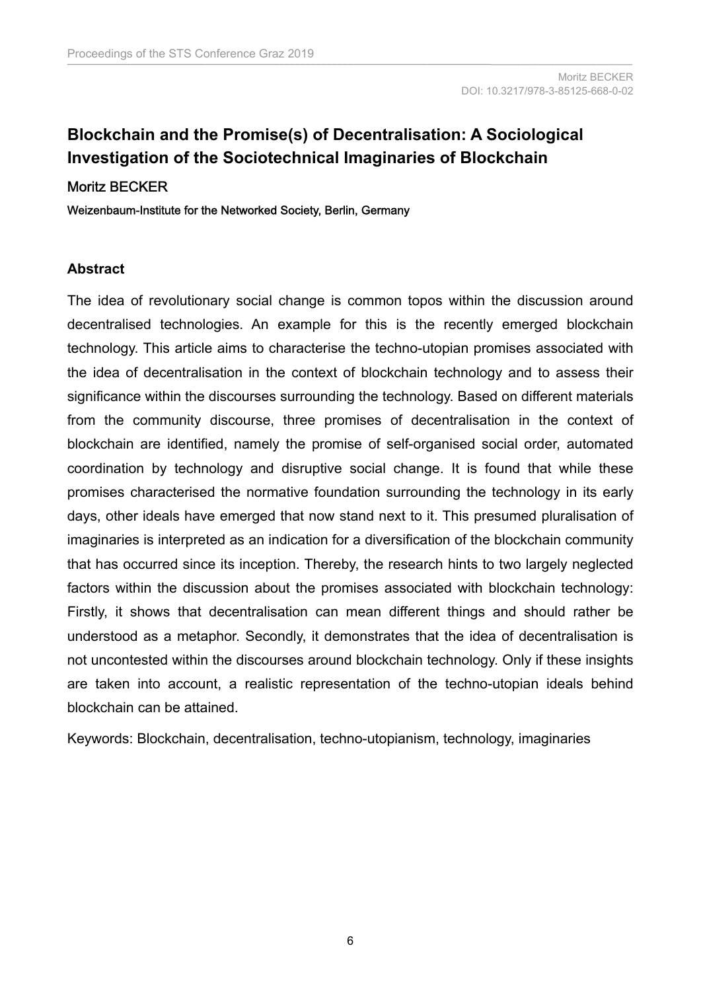# **Blockchain and the Promise(s) of Decentralisation: A Sociological Investigation of the Sociotechnical Imaginaries of Blockchain** Moritz BECKER

Weizenbaum-Institute for the Networked Society, Berlin, Germany

### **Abstract**

The idea of revolutionary social change is common topos within the discussion around decentralised technologies. An example for this is the recently emerged blockchain technology. This article aims to characterise the techno-utopian promises associated with the idea of decentralisation in the context of blockchain technology and to assess their significance within the discourses surrounding the technology. Based on different materials from the community discourse, three promises of decentralisation in the context of blockchain are identified, namely the promise of self-organised social order, automated coordination by technology and disruptive social change. It is found that while these promises characterised the normative foundation surrounding the technology in its early days, other ideals have emerged that now stand next to it. This presumed pluralisation of imaginaries is interpreted as an indication for a diversification of the blockchain community that has occurred since its inception. Thereby, the research hints to two largely neglected factors within the discussion about the promises associated with blockchain technology: Firstly, it shows that decentralisation can mean different things and should rather be understood as a metaphor. Secondly, it demonstrates that the idea of decentralisation is not uncontested within the discourses around blockchain technology. Only if these insights are taken into account, a realistic representation of the techno-utopian ideals behind blockchain can be attained.

Keywords: Blockchain, decentralisation, techno-utopianism, technology, imaginaries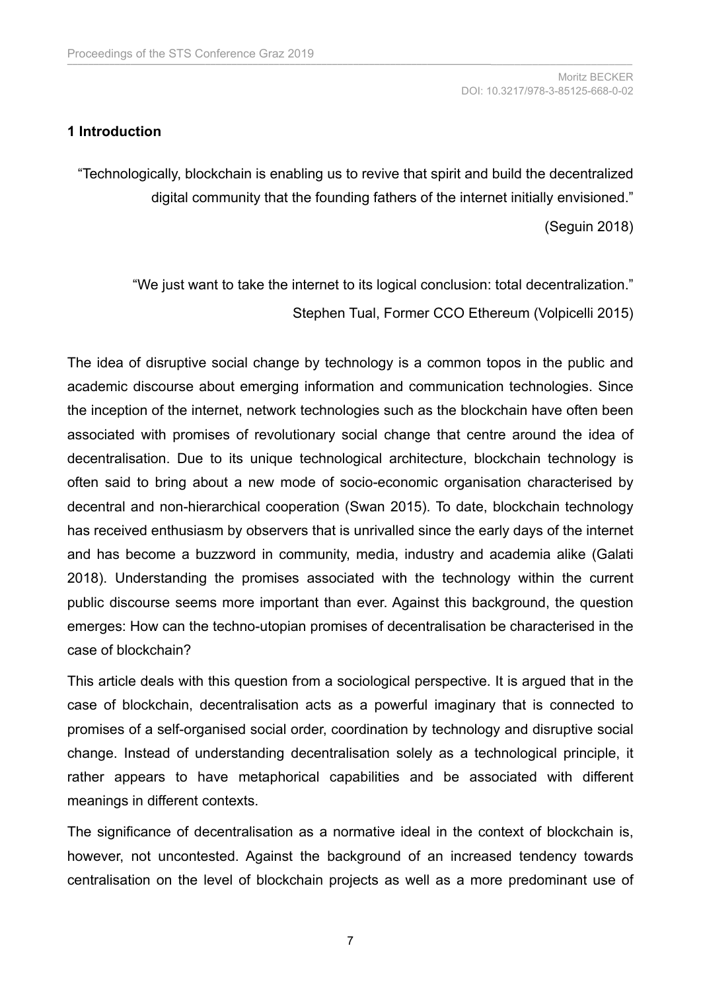### **1 Introduction**

"Technologically, blockchain is enabling us to revive that spirit and build the decentralized digital community that the founding fathers of the internet initially envisioned."

(Seguin 2018)

"We just want to take the internet to its logical conclusion: total decentralization." Stephen Tual, Former CCO Ethereum (Volpicelli 2015)

The idea of disruptive social change by technology is a common topos in the public and academic discourse about emerging information and communication technologies. Since the inception of the internet, network technologies such as the blockchain have often been associated with promises of revolutionary social change that centre around the idea of decentralisation. Due to its unique technological architecture, blockchain technology is often said to bring about a new mode of socio-economic organisation characterised by decentral and non-hierarchical cooperation (Swan 2015). To date, blockchain technology has received enthusiasm by observers that is unrivalled since the early days of the internet and has become a buzzword in community, media, industry and academia alike (Galati 2018). Understanding the promises associated with the technology within the current public discourse seems more important than ever. Against this background, the question emerges: How can the techno-utopian promises of decentralisation be characterised in the case of blockchain?

This article deals with this question from a sociological perspective. It is argued that in the case of blockchain, decentralisation acts as a powerful imaginary that is connected to promises of a self-organised social order, coordination by technology and disruptive social change. Instead of understanding decentralisation solely as a technological principle, it rather appears to have metaphorical capabilities and be associated with different meanings in different contexts.

The significance of decentralisation as a normative ideal in the context of blockchain is, however, not uncontested. Against the background of an increased tendency towards centralisation on the level of blockchain projects as well as a more predominant use of

7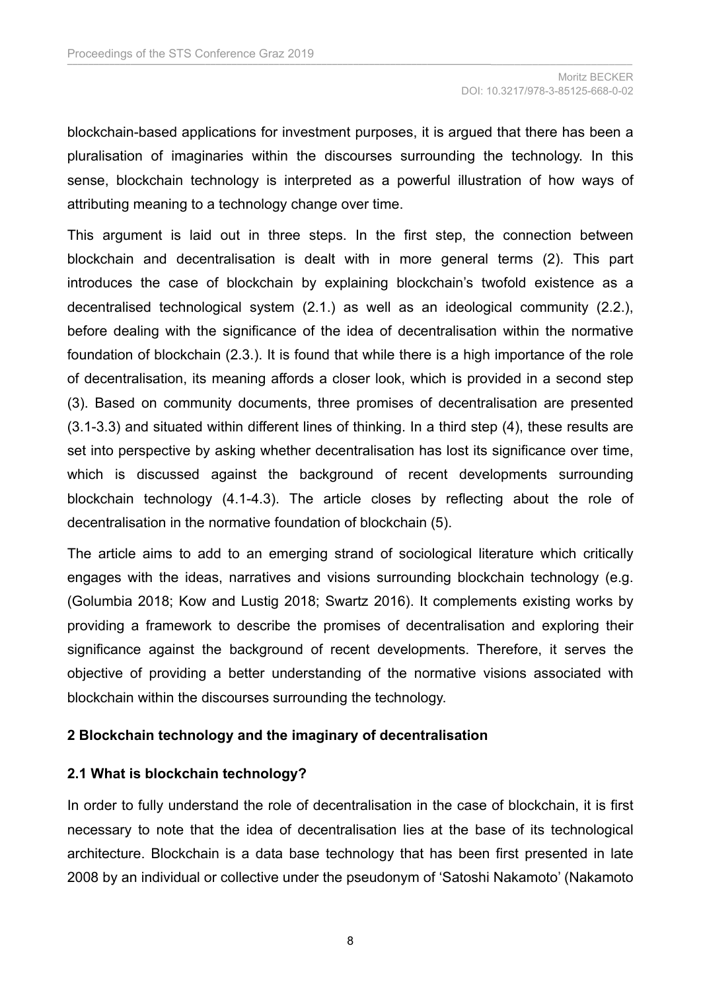blockchain-based applications for investment purposes, it is argued that there has been a pluralisation of imaginaries within the discourses surrounding the technology. In this sense, blockchain technology is interpreted as a powerful illustration of how ways of attributing meaning to a technology change over time.

This argument is laid out in three steps. In the first step, the connection between blockchain and decentralisation is dealt with in more general terms (2). This part introduces the case of blockchain by explaining blockchain's twofold existence as a decentralised technological system (2.1.) as well as an ideological community (2.2.), before dealing with the significance of the idea of decentralisation within the normative foundation of blockchain (2.3.). It is found that while there is a high importance of the role of decentralisation, its meaning affords a closer look, which is provided in a second step (3). Based on community documents, three promises of decentralisation are presented (3.1-3.3) and situated within different lines of thinking. In a third step (4), these results are set into perspective by asking whether decentralisation has lost its significance over time, which is discussed against the background of recent developments surrounding blockchain technology (4.1-4.3). The article closes by reflecting about the role of decentralisation in the normative foundation of blockchain (5).

The article aims to add to an emerging strand of sociological literature which critically engages with the ideas, narratives and visions surrounding blockchain technology (e.g. (Golumbia 2018; Kow and Lustig 2018; Swartz 2016). It complements existing works by providing a framework to describe the promises of decentralisation and exploring their significance against the background of recent developments. Therefore, it serves the objective of providing a better understanding of the normative visions associated with blockchain within the discourses surrounding the technology.

# **2 Blockchain technology and the imaginary of decentralisation**

### **2.1 What is blockchain technology?**

In order to fully understand the role of decentralisation in the case of blockchain, it is first necessary to note that the idea of decentralisation lies at the base of its technological architecture. Blockchain is a data base technology that has been first presented in late 2008 by an individual or collective under the pseudonym of 'Satoshi Nakamoto' (Nakamoto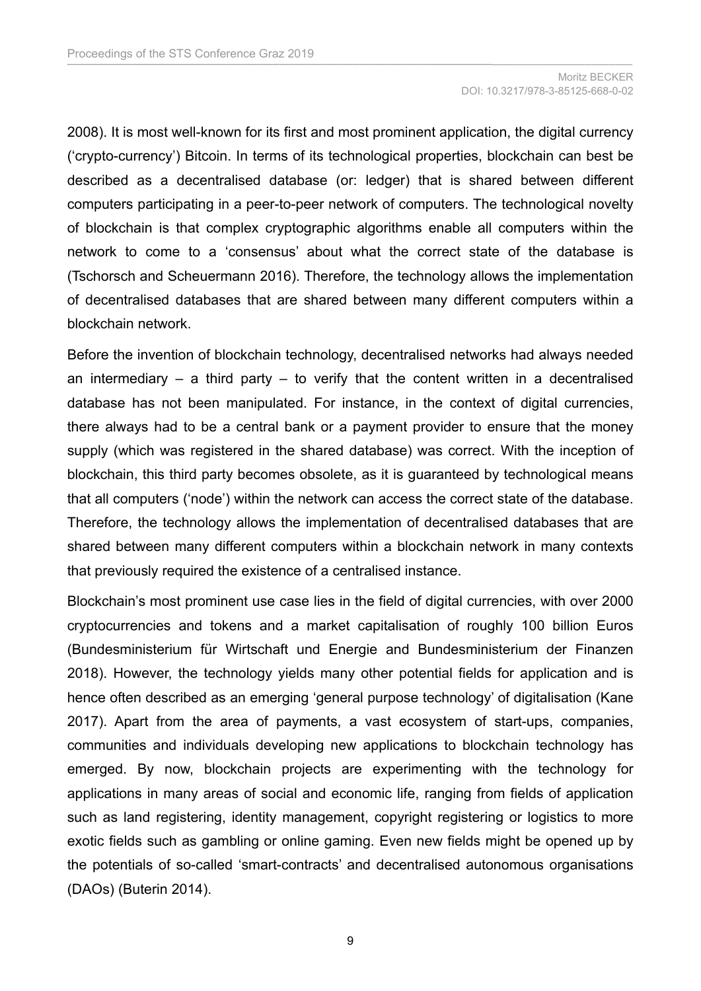2008). It is most well-known for its first and most prominent application, the digital currency ('crypto-currency') Bitcoin. In terms of its technological properties, blockchain can best be described as a decentralised database (or: ledger) that is shared between different computers participating in a peer-to-peer network of computers. The technological novelty of blockchain is that complex cryptographic algorithms enable all computers within the network to come to a 'consensus' about what the correct state of the database is (Tschorsch and Scheuermann 2016). Therefore, the technology allows the implementation of decentralised databases that are shared between many different computers within a blockchain network.

Before the invention of blockchain technology, decentralised networks had always needed an intermediary  $-$  a third party  $-$  to verify that the content written in a decentralised database has not been manipulated. For instance, in the context of digital currencies, there always had to be a central bank or a payment provider to ensure that the money supply (which was registered in the shared database) was correct. With the inception of blockchain, this third party becomes obsolete, as it is guaranteed by technological means that all computers ('node') within the network can access the correct state of the database. Therefore, the technology allows the implementation of decentralised databases that are shared between many different computers within a blockchain network in many contexts that previously required the existence of a centralised instance.

Blockchain's most prominent use case lies in the field of digital currencies, with over 2000 cryptocurrencies and tokens and a market capitalisation of roughly 100 billion Euros (Bundesministerium für Wirtschaft und Energie and Bundesministerium der Finanzen 2018). However, the technology yields many other potential fields for application and is hence often described as an emerging 'general purpose technology' of digitalisation (Kane 2017). Apart from the area of payments, a vast ecosystem of start-ups, companies, communities and individuals developing new applications to blockchain technology has emerged. By now, blockchain projects are experimenting with the technology for applications in many areas of social and economic life, ranging from fields of application such as land registering, identity management, copyright registering or logistics to more exotic fields such as gambling or online gaming. Even new fields might be opened up by the potentials of so-called 'smart-contracts' and decentralised autonomous organisations (DAOs) (Buterin 2014).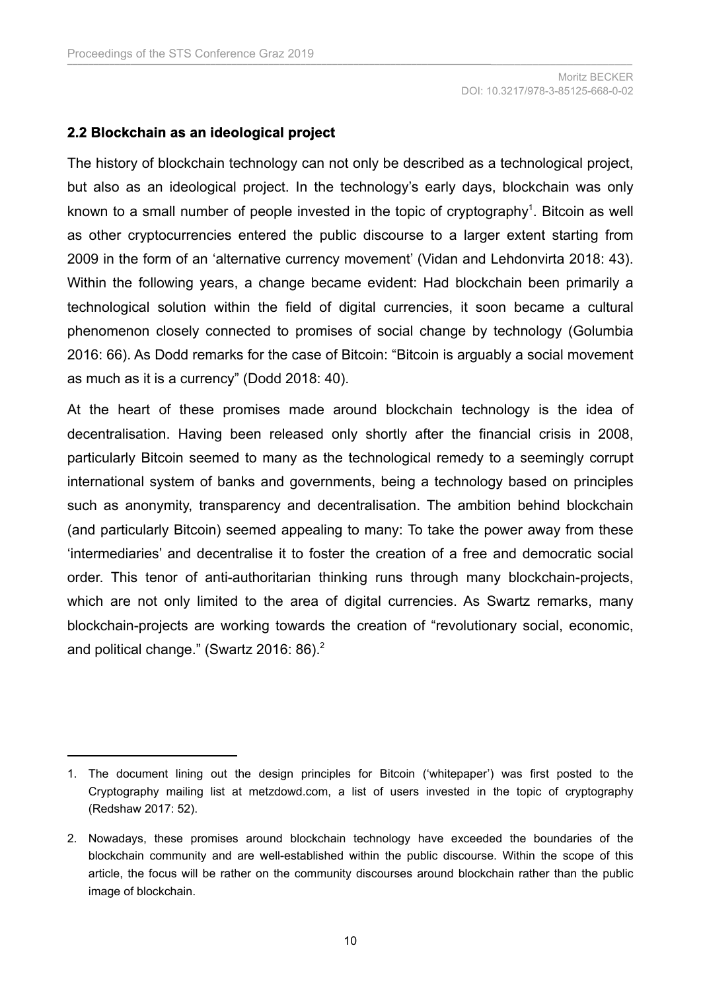## **2.2 Blockchain as an ideological project**

The history of blockchain technology can not only be described as a technological project, but also as an ideological project. In the technology's early days, blockchain was only known to a small number of people invested in the topic of cryptography<sup>1</sup>. Bitcoin as well as other cryptocurrencies entered the public discourse to a larger extent starting from 2009 in the form of an 'alternative currency movement' (Vidan and Lehdonvirta 2018: 43). Within the following years, a change became evident: Had blockchain been primarily a technological solution within the field of digital currencies, it soon became a cultural phenomenon closely connected to promises of social change by technology (Golumbia 2016: 66). As Dodd remarks for the case of Bitcoin: "Bitcoin is arguably a social movement as much as it is a currency" (Dodd 2018: 40).

At the heart of these promises made around blockchain technology is the idea of decentralisation. Having been released only shortly after the financial crisis in 2008, particularly Bitcoin seemed to many as the technological remedy to a seemingly corrupt international system of banks and governments, being a technology based on principles such as anonymity, transparency and decentralisation. The ambition behind blockchain (and particularly Bitcoin) seemed appealing to many: To take the power away from these 'intermediaries' and decentralise it to foster the creation of a free and democratic social order. This tenor of anti-authoritarian thinking runs through many blockchain-projects, which are not only limited to the area of digital currencies. As Swartz remarks, many blockchain-projects are working towards the creation of "revolutionary social, economic, and political change." (Swartz 2016: 86).<sup>2</sup>

<sup>1.</sup> The document lining out the design principles for Bitcoin ('whitepaper') was first posted to the Cryptography mailing list at metzdowd.com, a list of users invested in the topic of cryptography (Redshaw 2017: 52).

<sup>2.</sup> Nowadays, these promises around blockchain technology have exceeded the boundaries of the blockchain community and are well-established within the public discourse. Within the scope of this article, the focus will be rather on the community discourses around blockchain rather than the public image of blockchain.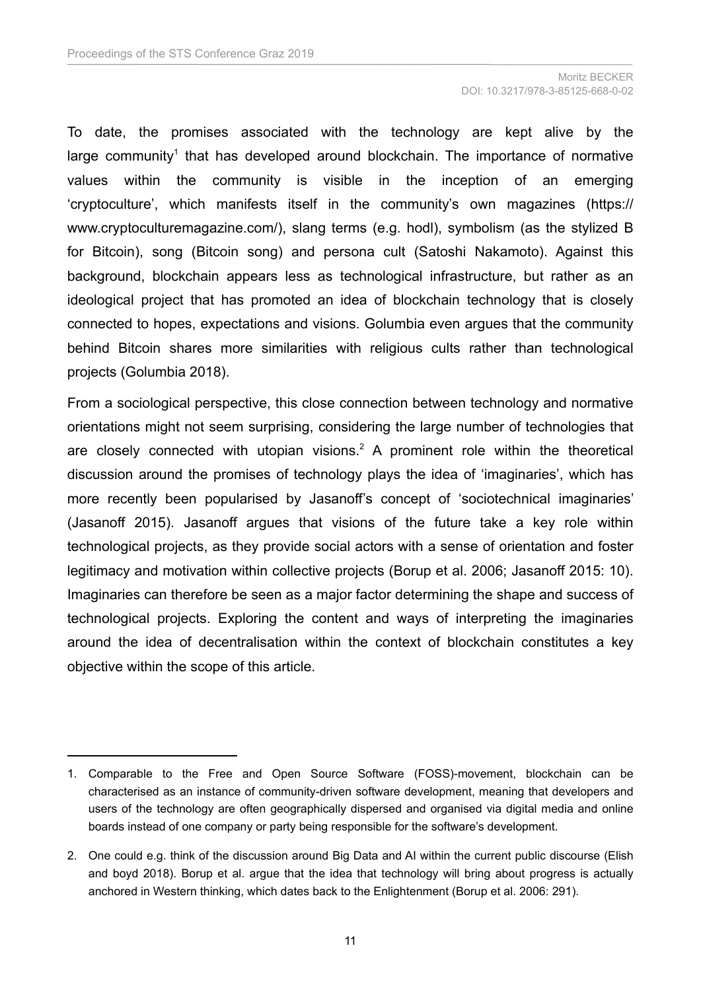To date, the promises associated with the technology are kept alive by the large community<sup>1</sup> that has developed around blockchain. The importance of normative values within the community is visible in the inception of an emerging 'cryptoculture', which manifests itself in the community's own magazines (https:// www.cryptoculturemagazine.com/), slang terms (e.g. hodl), symbolism (as the stylized B for Bitcoin), song (Bitcoin song) and persona cult (Satoshi Nakamoto). Against this background, blockchain appears less as technological infrastructure, but rather as an ideological project that has promoted an idea of blockchain technology that is closely connected to hopes, expectations and visions. Golumbia even argues that the community behind Bitcoin shares more similarities with religious cults rather than technological projects (Golumbia 2018).

From a sociological perspective, this close connection between technology and normative orientations might not seem surprising, considering the large number of technologies that are closely connected with utopian visions.<sup>2</sup> A prominent role within the theoretical discussion around the promises of technology plays the idea of 'imaginaries', which has more recently been popularised by Jasanoff's concept of 'sociotechnical imaginaries' (Jasanoff 2015). Jasanoff argues that visions of the future take a key role within technological projects, as they provide social actors with a sense of orientation and foster legitimacy and motivation within collective projects (Borup et al. 2006; Jasanoff 2015: 10). Imaginaries can therefore be seen as a major factor determining the shape and success of technological projects. Exploring the content and ways of interpreting the imaginaries around the idea of decentralisation within the context of blockchain constitutes a key objective within the scope of this article.

<sup>1.</sup> Comparable to the Free and Open Source Software (FOSS)-movement, blockchain can be characterised as an instance of community-driven software development, meaning that developers and users of the technology are often geographically dispersed and organised via digital media and online boards instead of one company or party being responsible for the software's development.

<sup>2.</sup> One could e.g. think of the discussion around Big Data and AI within the current public discourse (Elish and boyd 2018). Borup et al. argue that the idea that technology will bring about progress is actually anchored in Western thinking, which dates back to the Enlightenment (Borup et al. 2006: 291).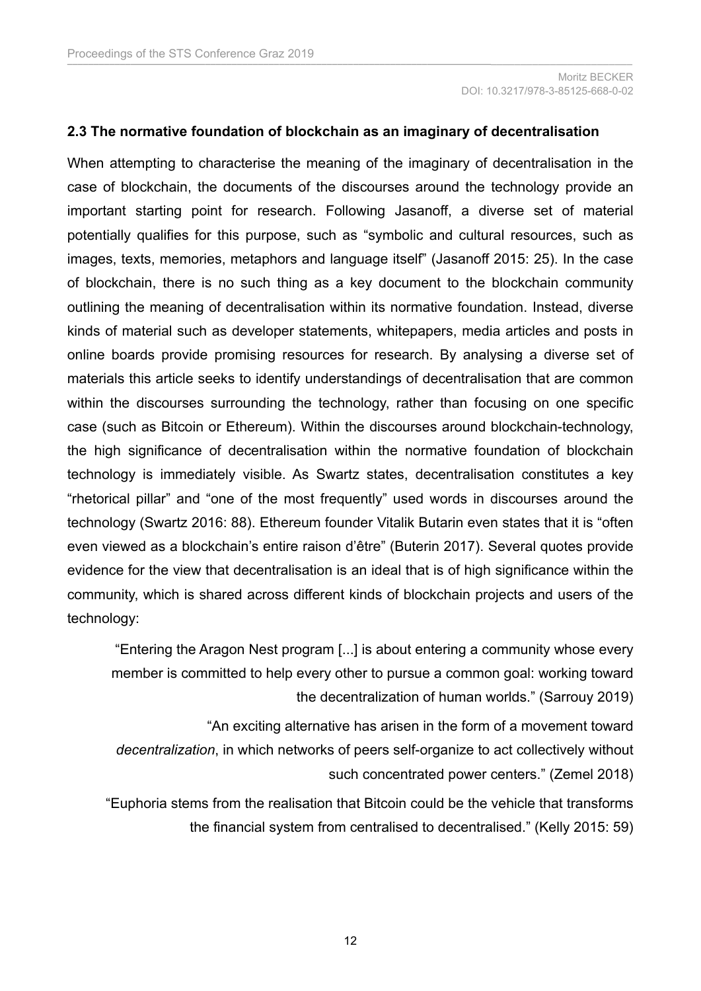### **2.3 The normative foundation of blockchain as an imaginary of decentralisation**

When attempting to characterise the meaning of the imaginary of decentralisation in the case of blockchain, the documents of the discourses around the technology provide an important starting point for research. Following Jasanoff, a diverse set of material potentially qualifies for this purpose, such as "symbolic and cultural resources, such as images, texts, memories, metaphors and language itself" (Jasanoff 2015: 25). In the case of blockchain, there is no such thing as a key document to the blockchain community outlining the meaning of decentralisation within its normative foundation. Instead, diverse kinds of material such as developer statements, whitepapers, media articles and posts in online boards provide promising resources for research. By analysing a diverse set of materials this article seeks to identify understandings of decentralisation that are common within the discourses surrounding the technology, rather than focusing on one specific case (such as Bitcoin or Ethereum). Within the discourses around blockchain-technology, the high significance of decentralisation within the normative foundation of blockchain technology is immediately visible. As Swartz states, decentralisation constitutes a key "rhetorical pillar" and "one of the most frequently" used words in discourses around the technology (Swartz 2016: 88). Ethereum founder Vitalik Butarin even states that it is "often even viewed as a blockchain's entire raison d'être" (Buterin 2017). Several quotes provide evidence for the view that decentralisation is an ideal that is of high significance within the community, which is shared across different kinds of blockchain projects and users of the technology:

 "Entering the Aragon Nest program [...] is about entering a community whose every member is committed to help every other to pursue a common goal: working toward the decentralization of human worlds." (Sarrouy 2019)

"An exciting alternative has arisen in the form of a movement toward *decentralization*, in which networks of peers self-organize to act collectively without such concentrated power centers." (Zemel 2018)

"Euphoria stems from the realisation that Bitcoin could be the vehicle that transforms the financial system from centralised to decentralised." (Kelly 2015: 59)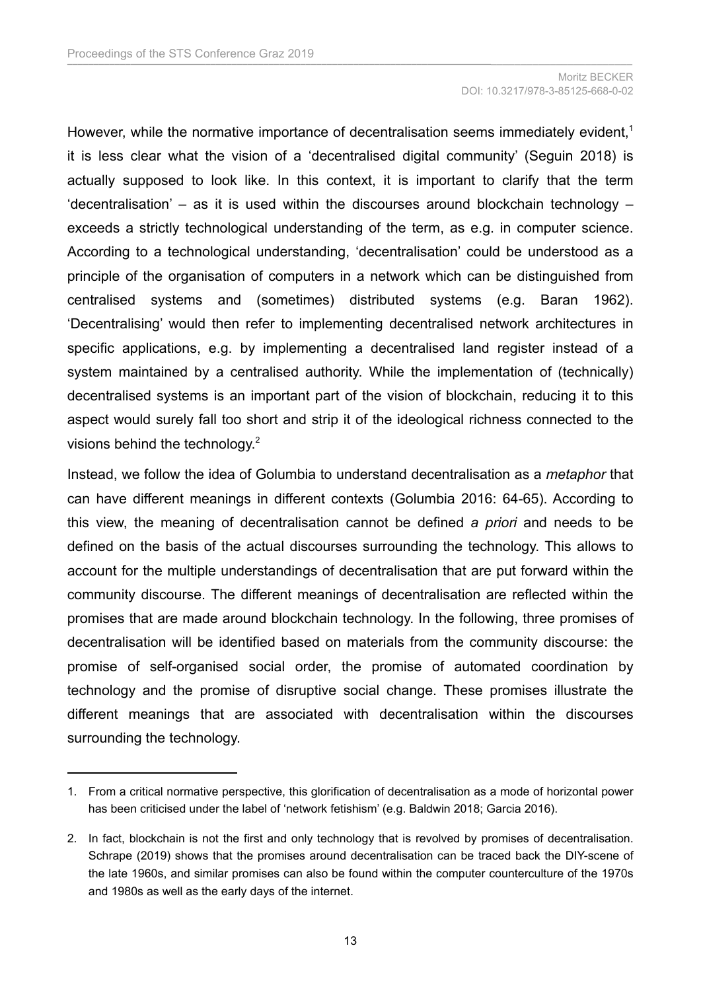However, while the normative importance of decentralisation seems immediately evident,<sup>1</sup> it is less clear what the vision of a 'decentralised digital community' (Seguin 2018) is actually supposed to look like. In this context, it is important to clarify that the term 'decentralisation' – as it is used within the discourses around blockchain technology – exceeds a strictly technological understanding of the term, as e.g. in computer science. According to a technological understanding, 'decentralisation' could be understood as a principle of the organisation of computers in a network which can be distinguished from centralised systems and (sometimes) distributed systems (e.g. Baran 1962). 'Decentralising' would then refer to implementing decentralised network architectures in specific applications, e.g. by implementing a decentralised land register instead of a system maintained by a centralised authority. While the implementation of (technically) decentralised systems is an important part of the vision of blockchain, reducing it to this aspect would surely fall too short and strip it of the ideological richness connected to the visions behind the technology.<sup>2</sup>

Instead, we follow the idea of Golumbia to understand decentralisation as a *metaphor* that can have different meanings in different contexts (Golumbia 2016: 64-65). According to this view, the meaning of decentralisation cannot be defined *a priori* and needs to be defined on the basis of the actual discourses surrounding the technology. This allows to account for the multiple understandings of decentralisation that are put forward within the community discourse. The different meanings of decentralisation are reflected within the promises that are made around blockchain technology. In the following, three promises of decentralisation will be identified based on materials from the community discourse: the promise of self-organised social order, the promise of automated coordination by technology and the promise of disruptive social change. These promises illustrate the different meanings that are associated with decentralisation within the discourses surrounding the technology.

<sup>1.</sup> From a critical normative perspective, this glorification of decentralisation as a mode of horizontal power has been criticised under the label of 'network fetishism' (e.g. Baldwin 2018; Garcia 2016).

<sup>2.</sup> In fact, blockchain is not the first and only technology that is revolved by promises of decentralisation. Schrape (2019) shows that the promises around decentralisation can be traced back the DIY-scene of the late 1960s, and similar promises can also be found within the computer counterculture of the 1970s and 1980s as well as the early days of the internet.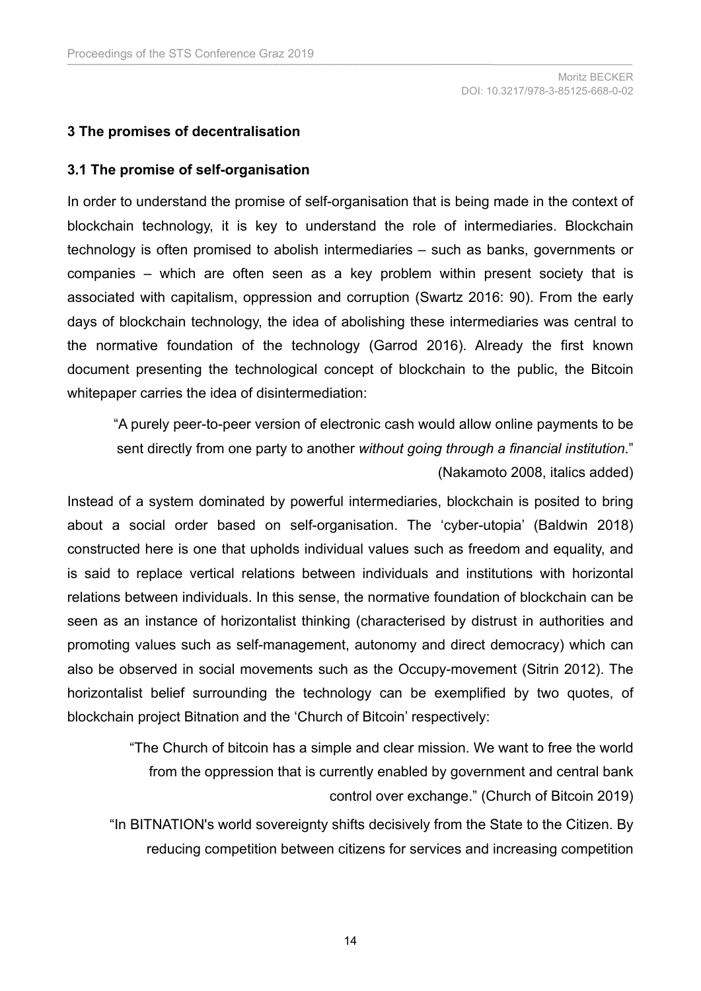# **3 The promises of decentralisation**

### **3.1 The promise of self-organisation**

In order to understand the promise of self-organisation that is being made in the context of blockchain technology, it is key to understand the role of intermediaries. Blockchain technology is often promised to abolish intermediaries – such as banks, governments or companies – which are often seen as a key problem within present society that is associated with capitalism, oppression and corruption (Swartz 2016: 90). From the early days of blockchain technology, the idea of abolishing these intermediaries was central to the normative foundation of the technology (Garrod 2016). Already the first known document presenting the technological concept of blockchain to the public, the Bitcoin whitepaper carries the idea of disintermediation:

"A purely peer-to-peer version of electronic cash would allow online payments to be sent directly from one party to another *without going through a financial institution*." (Nakamoto 2008, italics added)

Instead of a system dominated by powerful intermediaries, blockchain is posited to bring about a social order based on self-organisation. The 'cyber-utopia' (Baldwin 2018) constructed here is one that upholds individual values such as freedom and equality, and is said to replace vertical relations between individuals and institutions with horizontal relations between individuals. In this sense, the normative foundation of blockchain can be seen as an instance of horizontalist thinking (characterised by distrust in authorities and promoting values such as self-management, autonomy and direct democracy) which can also be observed in social movements such as the Occupy-movement (Sitrin 2012). The horizontalist belief surrounding the technology can be exemplified by two quotes, of blockchain project Bitnation and the 'Church of Bitcoin' respectively:

> "The Church of bitcoin has a simple and clear mission. We want to free the world from the oppression that is currently enabled by government and central bank control over exchange." (Church of Bitcoin 2019)

"In BITNATION's world sovereignty shifts decisively from the State to the Citizen. By reducing competition between citizens for services and increasing competition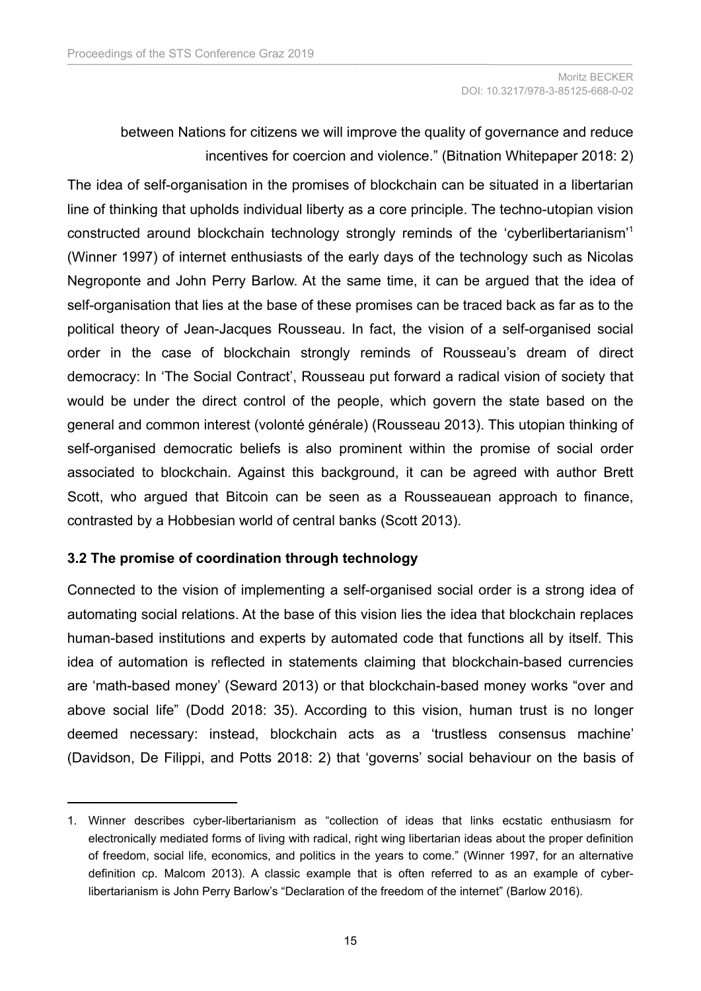# between Nations for citizens we will improve the quality of governance and reduce incentives for coercion and violence." (Bitnation Whitepaper 2018: 2)

The idea of self-organisation in the promises of blockchain can be situated in a libertarian line of thinking that upholds individual liberty as a core principle. The techno-utopian vision constructed around blockchain technology strongly reminds of the 'cyberlibertarianism'1 (Winner 1997) of internet enthusiasts of the early days of the technology such as Nicolas Negroponte and John Perry Barlow. At the same time, it can be argued that the idea of self-organisation that lies at the base of these promises can be traced back as far as to the political theory of Jean-Jacques Rousseau. In fact, the vision of a self-organised social order in the case of blockchain strongly reminds of Rousseau's dream of direct democracy: In 'The Social Contract', Rousseau put forward a radical vision of society that would be under the direct control of the people, which govern the state based on the general and common interest (volonté générale) (Rousseau 2013). This utopian thinking of self-organised democratic beliefs is also prominent within the promise of social order associated to blockchain. Against this background, it can be agreed with author Brett Scott, who argued that Bitcoin can be seen as a Rousseauean approach to finance, contrasted by a Hobbesian world of central banks (Scott 2013).

# **3.2 The promise of coordination through technology**

Connected to the vision of implementing a self-organised social order is a strong idea of automating social relations. At the base of this vision lies the idea that blockchain replaces human-based institutions and experts by automated code that functions all by itself. This idea of automation is reflected in statements claiming that blockchain-based currencies are 'math-based money' (Seward 2013) or that blockchain-based money works "over and above social life" (Dodd 2018: 35). According to this vision, human trust is no longer deemed necessary: instead, blockchain acts as a 'trustless consensus machine' (Davidson, De Filippi, and Potts 2018: 2) that 'governs' social behaviour on the basis of

<sup>1.</sup> Winner describes cyber-libertarianism as "collection of ideas that links ecstatic enthusiasm for electronically mediated forms of living with radical, right wing libertarian ideas about the proper definition of freedom, social life, economics, and politics in the years to come." (Winner 1997, for an alternative definition cp. Malcom 2013). A classic example that is often referred to as an example of cyberlibertarianism is John Perry Barlow's "Declaration of the freedom of the internet" (Barlow 2016).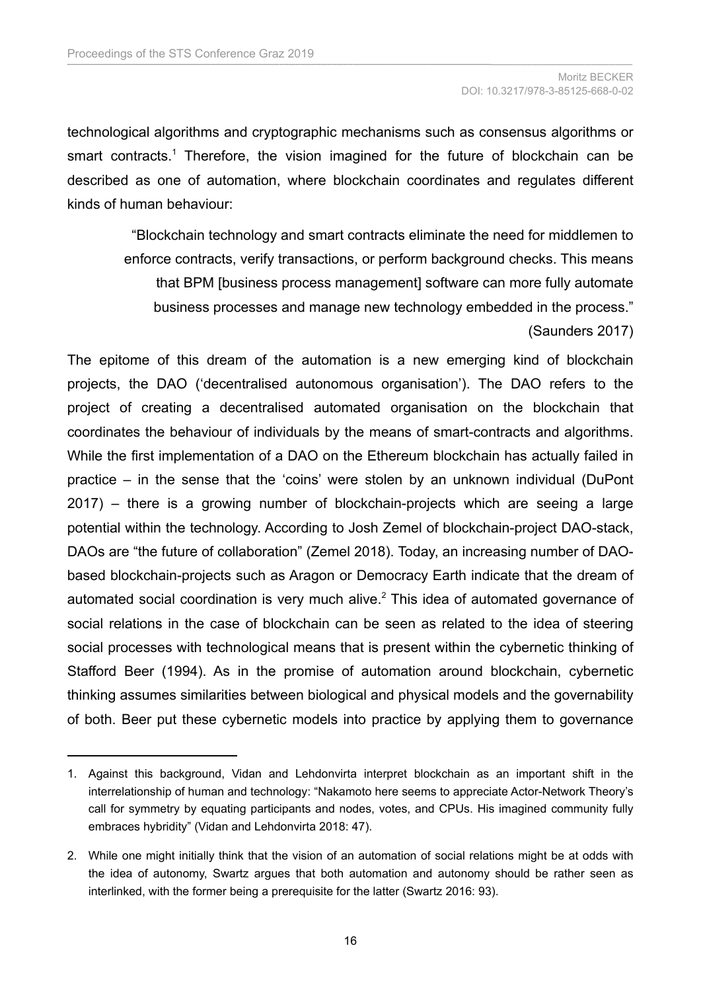technological algorithms and cryptographic mechanisms such as consensus algorithms or smart contracts.<sup>1</sup> Therefore, the vision imagined for the future of blockchain can be described as one of automation, where blockchain coordinates and regulates different kinds of human behaviour:

"Blockchain technology and smart contracts eliminate the need for middlemen to enforce contracts, verify transactions, or perform background checks. This means that BPM [business process management] software can more fully automate business processes and manage new technology embedded in the process." (Saunders 2017)

The epitome of this dream of the automation is a new emerging kind of blockchain projects, the DAO ('decentralised autonomous organisation'). The DAO refers to the project of creating a decentralised automated organisation on the blockchain that coordinates the behaviour of individuals by the means of smart-contracts and algorithms. While the first implementation of a DAO on the Ethereum blockchain has actually failed in practice – in the sense that the 'coins' were stolen by an unknown individual (DuPont 2017) – there is a growing number of blockchain-projects which are seeing a large potential within the technology. According to Josh Zemel of blockchain-project DAO-stack, DAOs are "the future of collaboration" (Zemel 2018). Today, an increasing number of DAObased blockchain-projects such as Aragon or Democracy Earth indicate that the dream of automated social coordination is very much alive. $<sup>2</sup>$  This idea of automated governance of</sup> social relations in the case of blockchain can be seen as related to the idea of steering social processes with technological means that is present within the cybernetic thinking of Stafford Beer (1994). As in the promise of automation around blockchain, cybernetic thinking assumes similarities between biological and physical models and the governability of both. Beer put these cybernetic models into practice by applying them to governance

<sup>1.</sup> Against this background, Vidan and Lehdonvirta interpret blockchain as an important shift in the interrelationship of human and technology: "Nakamoto here seems to appreciate Actor-Network Theory's call for symmetry by equating participants and nodes, votes, and CPUs. His imagined community fully embraces hybridity" (Vidan and Lehdonvirta 2018: 47).

<sup>2.</sup> While one might initially think that the vision of an automation of social relations might be at odds with the idea of autonomy, Swartz argues that both automation and autonomy should be rather seen as interlinked, with the former being a prerequisite for the latter (Swartz 2016: 93).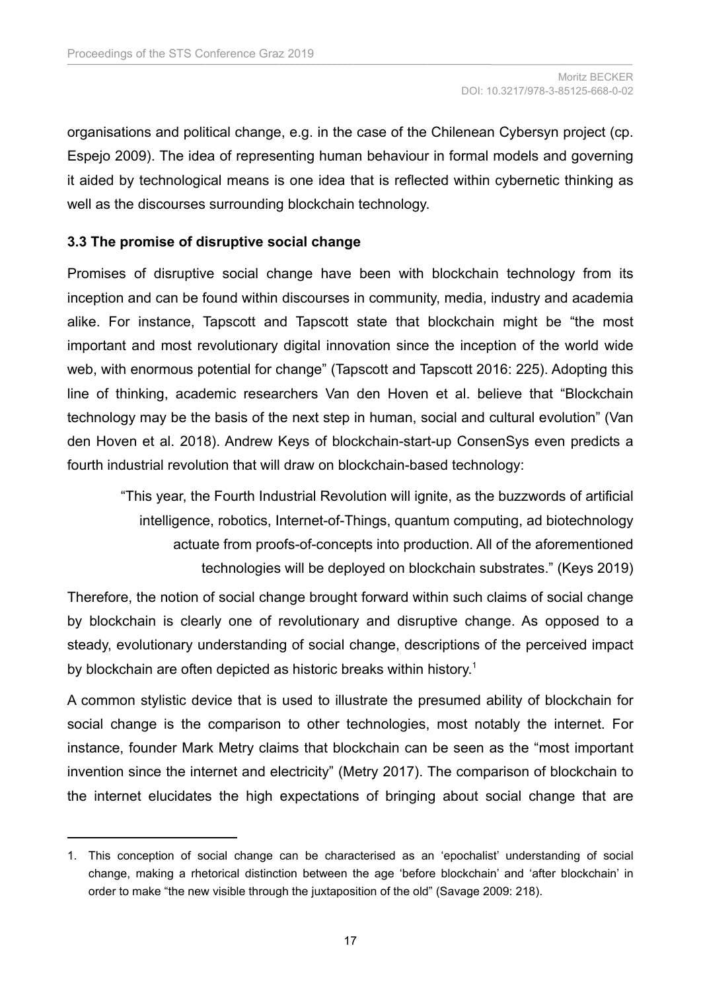organisations and political change, e.g. in the case of the Chilenean Cybersyn project (cp. Espejo 2009). The idea of representing human behaviour in formal models and governing it aided by technological means is one idea that is reflected within cybernetic thinking as well as the discourses surrounding blockchain technology.

# **3.3 The promise of disruptive social change**

Promises of disruptive social change have been with blockchain technology from its inception and can be found within discourses in community, media, industry and academia alike. For instance, Tapscott and Tapscott state that blockchain might be "the most important and most revolutionary digital innovation since the inception of the world wide web, with enormous potential for change" (Tapscott and Tapscott 2016: 225). Adopting this line of thinking, academic researchers Van den Hoven et al. believe that "Blockchain technology may be the basis of the next step in human, social and cultural evolution" (Van den Hoven et al. 2018). Andrew Keys of blockchain-start-up ConsenSys even predicts a fourth industrial revolution that will draw on blockchain-based technology:

"This year, the Fourth Industrial Revolution will ignite, as the buzzwords of artificial intelligence, robotics, Internet-of-Things, quantum computing, ad biotechnology actuate from proofs-of-concepts into production. All of the aforementioned technologies will be deployed on blockchain substrates." (Keys 2019)

Therefore, the notion of social change brought forward within such claims of social change by blockchain is clearly one of revolutionary and disruptive change. As opposed to a steady, evolutionary understanding of social change, descriptions of the perceived impact by blockchain are often depicted as historic breaks within history.<sup>1</sup>

A common stylistic device that is used to illustrate the presumed ability of blockchain for social change is the comparison to other technologies, most notably the internet. For instance, founder Mark Metry claims that blockchain can be seen as the "most important invention since the internet and electricity" (Metry 2017). The comparison of blockchain to the internet elucidates the high expectations of bringing about social change that are

<sup>1.</sup> This conception of social change can be characterised as an 'epochalist' understanding of social change, making a rhetorical distinction between the age 'before blockchain' and 'after blockchain' in order to make "the new visible through the juxtaposition of the old" (Savage 2009: 218).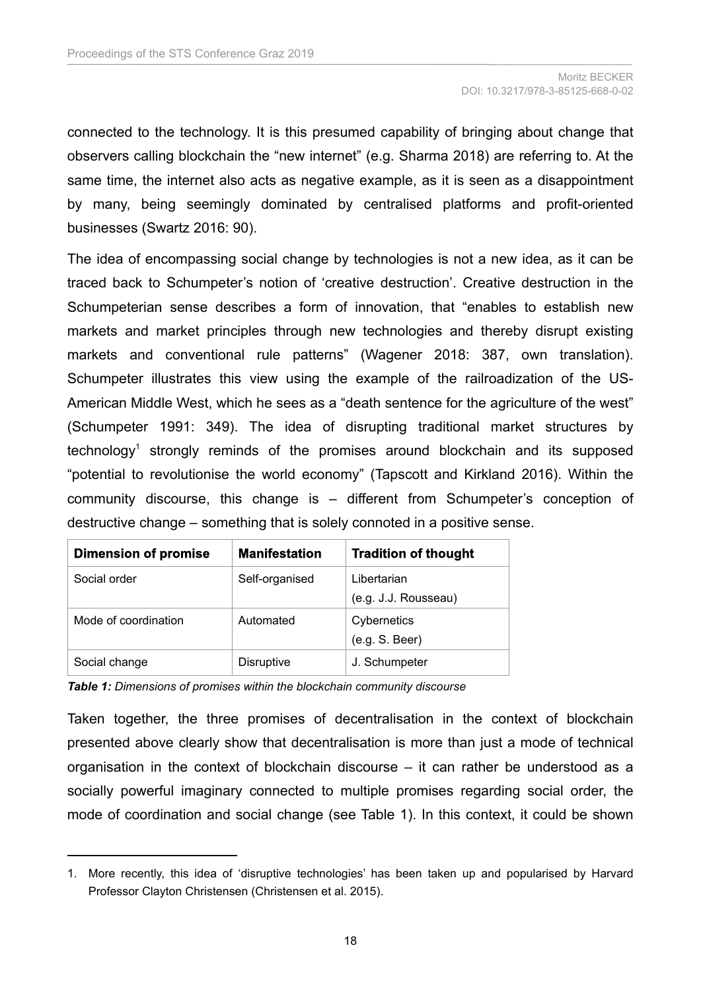connected to the technology. It is this presumed capability of bringing about change that observers calling blockchain the "new internet" (e.g. Sharma 2018) are referring to. At the same time, the internet also acts as negative example, as it is seen as a disappointment by many, being seemingly dominated by centralised platforms and profit-oriented businesses (Swartz 2016: 90).

The idea of encompassing social change by technologies is not a new idea, as it can be traced back to Schumpeter's notion of 'creative destruction'. Creative destruction in the Schumpeterian sense describes a form of innovation, that "enables to establish new markets and market principles through new technologies and thereby disrupt existing markets and conventional rule patterns" (Wagener 2018: 387, own translation). Schumpeter illustrates this view using the example of the railroadization of the US-American Middle West, which he sees as a "death sentence for the agriculture of the west" (Schumpeter 1991: 349). The idea of disrupting traditional market structures by  $technology<sup>1</sup>$  strongly reminds of the promises around blockchain and its supposed "potential to revolutionise the world economy" (Tapscott and Kirkland 2016). Within the community discourse, this change is – different from Schumpeter's conception of destructive change – something that is solely connoted in a positive sense.

| <b>Dimension of promise</b> | <b>Manifestation</b> | <b>Tradition of thought</b> |
|-----------------------------|----------------------|-----------------------------|
| Social order                | Self-organised       | Libertarian                 |
|                             |                      | (e.g. J.J. Rousseau)        |
| Mode of coordination        | Automated            | Cybernetics                 |
|                             |                      | (e.g. S. Beer)              |
| Social change               | <b>Disruptive</b>    | J. Schumpeter               |

*Table 1: Dimensions of promises within the blockchain community discourse*

Taken together, the three promises of decentralisation in the context of blockchain presented above clearly show that decentralisation is more than just a mode of technical organisation in the context of blockchain discourse – it can rather be understood as a socially powerful imaginary connected to multiple promises regarding social order, the mode of coordination and social change (see Table 1). In this context, it could be shown

<sup>1.</sup> More recently, this idea of 'disruptive technologies' has been taken up and popularised by Harvard Professor Clayton Christensen (Christensen et al. 2015).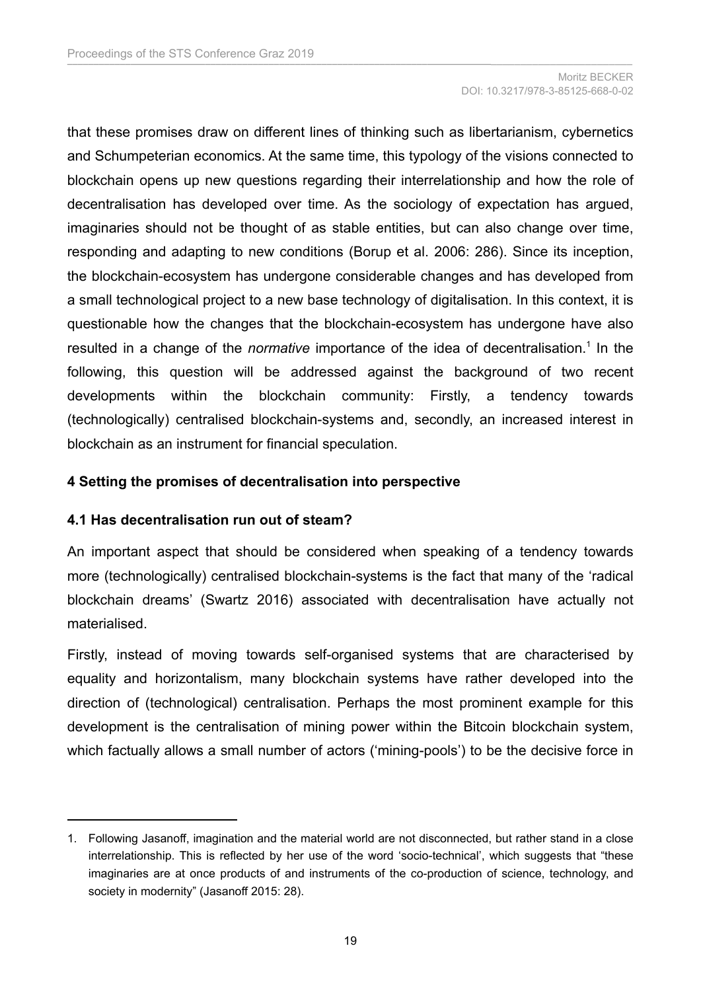that these promises draw on different lines of thinking such as libertarianism, cybernetics and Schumpeterian economics. At the same time, this typology of the visions connected to blockchain opens up new questions regarding their interrelationship and how the role of decentralisation has developed over time. As the sociology of expectation has argued, imaginaries should not be thought of as stable entities, but can also change over time, responding and adapting to new conditions (Borup et al. 2006: 286). Since its inception, the blockchain-ecosystem has undergone considerable changes and has developed from a small technological project to a new base technology of digitalisation. In this context, it is questionable how the changes that the blockchain-ecosystem has undergone have also resulted in a change of the *normative* importance of the idea of decentralisation.<sup>1</sup> In the following, this question will be addressed against the background of two recent developments within the blockchain community: Firstly, a tendency towards (technologically) centralised blockchain-systems and, secondly, an increased interest in blockchain as an instrument for financial speculation.

### **4 Setting the promises of decentralisation into perspective**

# **4.1 Has decentralisation run out of steam?**

An important aspect that should be considered when speaking of a tendency towards more (technologically) centralised blockchain-systems is the fact that many of the 'radical blockchain dreams' (Swartz 2016) associated with decentralisation have actually not materialised.

Firstly, instead of moving towards self-organised systems that are characterised by equality and horizontalism, many blockchain systems have rather developed into the direction of (technological) centralisation. Perhaps the most prominent example for this development is the centralisation of mining power within the Bitcoin blockchain system, which factually allows a small number of actors ('mining-pools') to be the decisive force in

<sup>1.</sup> Following Jasanoff, imagination and the material world are not disconnected, but rather stand in a close interrelationship. This is reflected by her use of the word 'socio-technical', which suggests that "these imaginaries are at once products of and instruments of the co-production of science, technology, and society in modernity" (Jasanoff 2015: 28).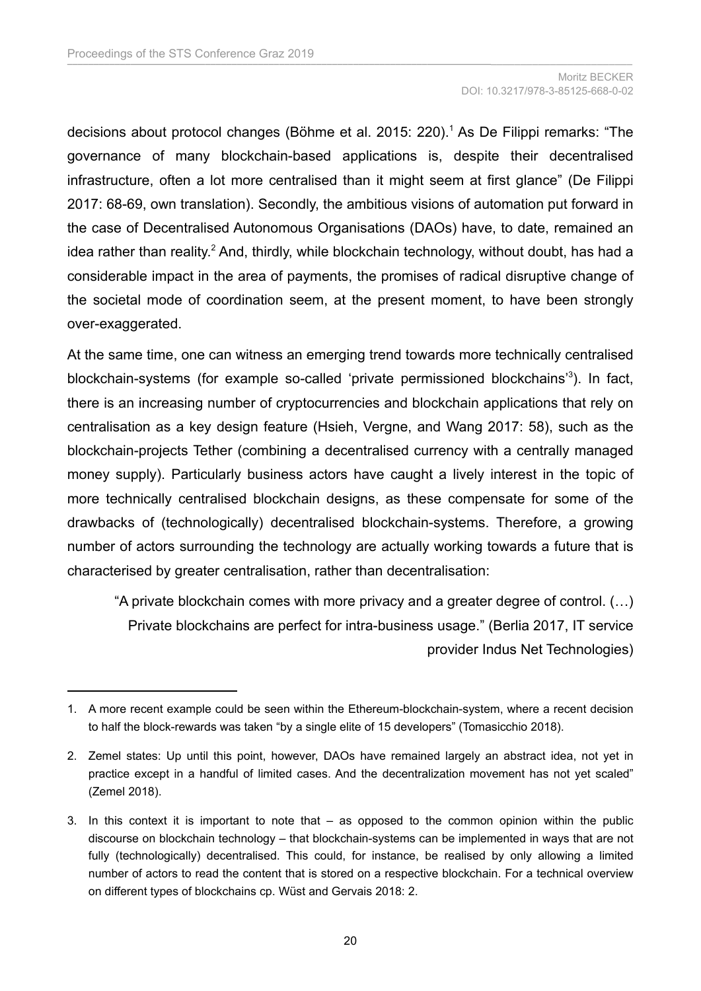decisions about protocol changes (Böhme et al. 2015:  $220$ ).<sup>1</sup> As De Filippi remarks: "The governance of many blockchain-based applications is, despite their decentralised infrastructure, often a lot more centralised than it might seem at first glance" (De Filippi 2017: 68-69, own translation). Secondly, the ambitious visions of automation put forward in the case of Decentralised Autonomous Organisations (DAOs) have, to date, remained an idea rather than reality.<sup>2</sup> And, thirdly, while blockchain technology, without doubt, has had a considerable impact in the area of payments, the promises of radical disruptive change of the societal mode of coordination seem, at the present moment, to have been strongly over-exaggerated.

At the same time, one can witness an emerging trend towards more technically centralised blockchain-systems (for example so-called 'private permissioned blockchains'<sup>3</sup>). In fact, there is an increasing number of cryptocurrencies and blockchain applications that rely on centralisation as a key design feature (Hsieh, Vergne, and Wang 2017: 58), such as the blockchain-projects Tether (combining a decentralised currency with a centrally managed money supply). Particularly business actors have caught a lively interest in the topic of more technically centralised blockchain designs, as these compensate for some of the drawbacks of (technologically) decentralised blockchain-systems. Therefore, a growing number of actors surrounding the technology are actually working towards a future that is characterised by greater centralisation, rather than decentralisation:

"A private blockchain comes with more privacy and a greater degree of control. (…) Private blockchains are perfect for intra-business usage." (Berlia 2017, IT service provider Indus Net Technologies)

<sup>1.</sup> A more recent example could be seen within the Ethereum-blockchain-system, where a recent decision to half the block-rewards was taken "by a single elite of 15 developers" (Tomasicchio 2018).

<sup>2.</sup> Zemel states: Up until this point, however, DAOs have remained largely an abstract idea, not yet in practice except in a handful of limited cases. And the decentralization movement has not yet scaled" (Zemel 2018).

<sup>3.</sup> In this context it is important to note that – as opposed to the common opinion within the public discourse on blockchain technology – that blockchain-systems can be implemented in ways that are not fully (technologically) decentralised. This could, for instance, be realised by only allowing a limited number of actors to read the content that is stored on a respective blockchain. For a technical overview on different types of blockchains cp. Wüst and Gervais 2018: 2.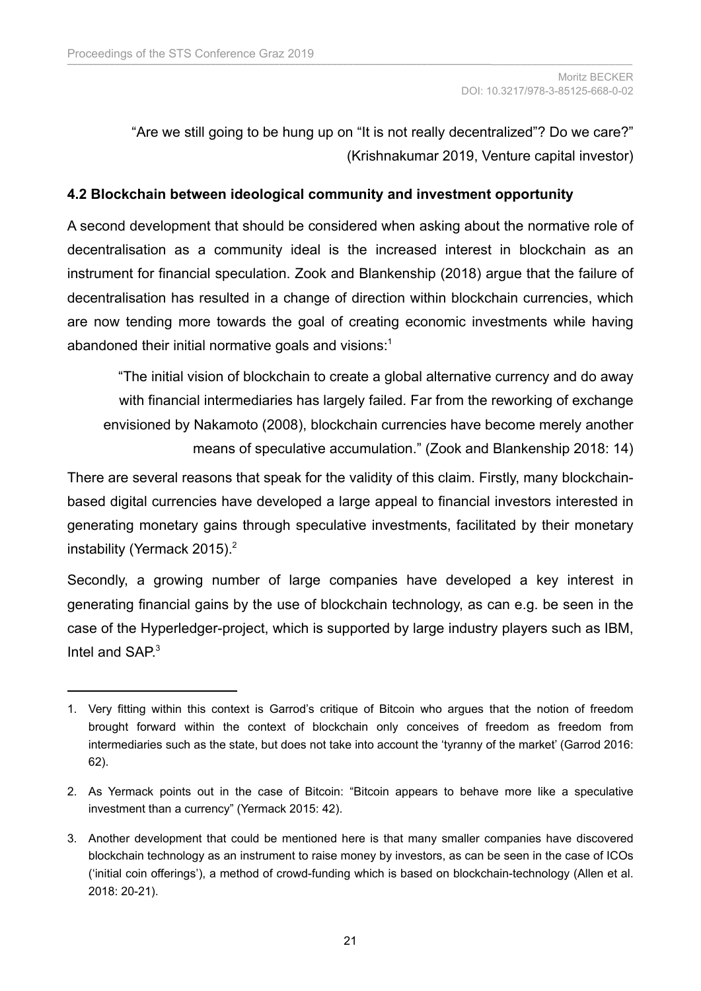"Are we still going to be hung up on "It is not really decentralized"? Do we care?" (Krishnakumar 2019, Venture capital investor)

# **4.2 Blockchain between ideological community and investment opportunity**

A second development that should be considered when asking about the normative role of decentralisation as a community ideal is the increased interest in blockchain as an instrument for financial speculation. Zook and Blankenship (2018) argue that the failure of decentralisation has resulted in a change of direction within blockchain currencies, which are now tending more towards the goal of creating economic investments while having abandoned their initial normative goals and visions:<sup>1</sup>

"The initial vision of blockchain to create a global alternative currency and do away with financial intermediaries has largely failed. Far from the reworking of exchange envisioned by Nakamoto (2008), blockchain currencies have become merely another means of speculative accumulation." (Zook and Blankenship 2018: 14)

There are several reasons that speak for the validity of this claim. Firstly, many blockchainbased digital currencies have developed a large appeal to financial investors interested in generating monetary gains through speculative investments, facilitated by their monetary instability (Yermack 2015).<sup>2</sup>

Secondly, a growing number of large companies have developed a key interest in generating financial gains by the use of blockchain technology, as can e.g. be seen in the case of the Hyperledger-project, which is supported by large industry players such as IBM, Intel and SAP<sup>3</sup>

<sup>1.</sup> Very fitting within this context is Garrod's critique of Bitcoin who argues that the notion of freedom brought forward within the context of blockchain only conceives of freedom as freedom from intermediaries such as the state, but does not take into account the 'tyranny of the market' (Garrod 2016: 62).

<sup>2.</sup> As Yermack points out in the case of Bitcoin: "Bitcoin appears to behave more like a speculative investment than a currency" (Yermack 2015: 42).

<sup>3.</sup> Another development that could be mentioned here is that many smaller companies have discovered blockchain technology as an instrument to raise money by investors, as can be seen in the case of ICOs ('initial coin offerings'), a method of crowd-funding which is based on blockchain-technology (Allen et al. 2018: 20-21).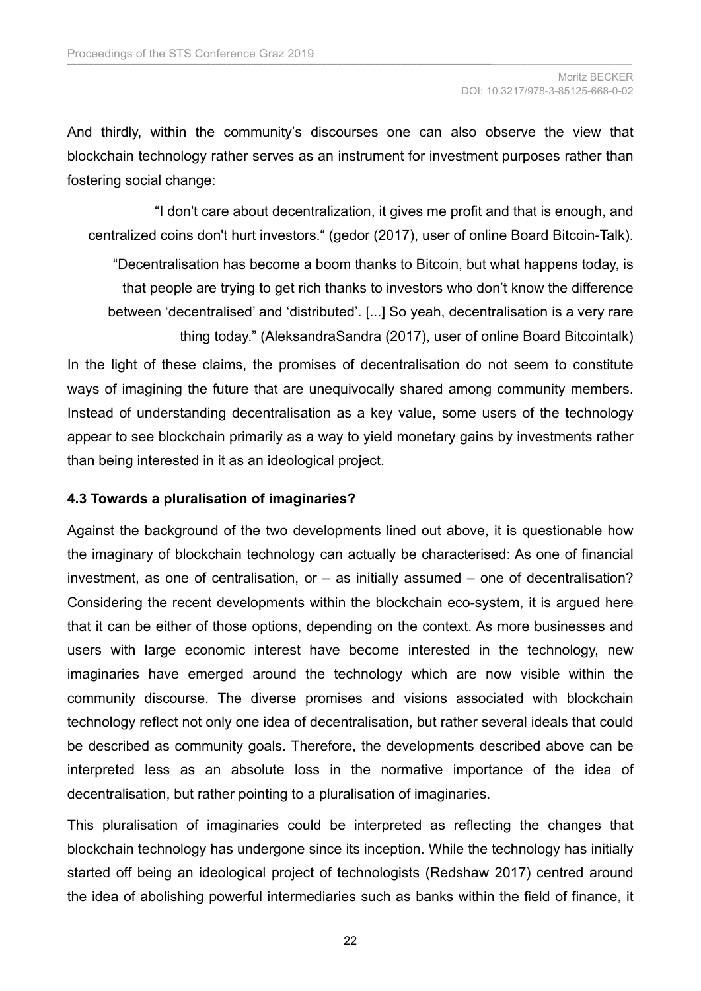And thirdly, within the community's discourses one can also observe the view that blockchain technology rather serves as an instrument for investment purposes rather than fostering social change:

"I don't care about decentralization, it gives me profit and that is enough, and centralized coins don't hurt investors." (gedor (2017), user of online Board Bitcoin-Talk).

"Decentralisation has become a boom thanks to Bitcoin, but what happens today, is that people are trying to get rich thanks to investors who don't know the difference between 'decentralised' and 'distributed'. [...] So yeah, decentralisation is a very rare thing today." (AleksandraSandra (2017), user of online Board Bitcointalk)

In the light of these claims, the promises of decentralisation do not seem to constitute ways of imagining the future that are unequivocally shared among community members. Instead of understanding decentralisation as a key value, some users of the technology appear to see blockchain primarily as a way to yield monetary gains by investments rather than being interested in it as an ideological project.

### **4.3 Towards a pluralisation of imaginaries?**

Against the background of the two developments lined out above, it is questionable how the imaginary of blockchain technology can actually be characterised: As one of financial investment, as one of centralisation, or – as initially assumed – one of decentralisation? Considering the recent developments within the blockchain eco-system, it is argued here that it can be either of those options, depending on the context. As more businesses and users with large economic interest have become interested in the technology, new imaginaries have emerged around the technology which are now visible within the community discourse. The diverse promises and visions associated with blockchain technology reflect not only one idea of decentralisation, but rather several ideals that could be described as community goals. Therefore, the developments described above can be interpreted less as an absolute loss in the normative importance of the idea of decentralisation, but rather pointing to a pluralisation of imaginaries.

This pluralisation of imaginaries could be interpreted as reflecting the changes that blockchain technology has undergone since its inception. While the technology has initially started off being an ideological project of technologists (Redshaw 2017) centred around the idea of abolishing powerful intermediaries such as banks within the field of finance, it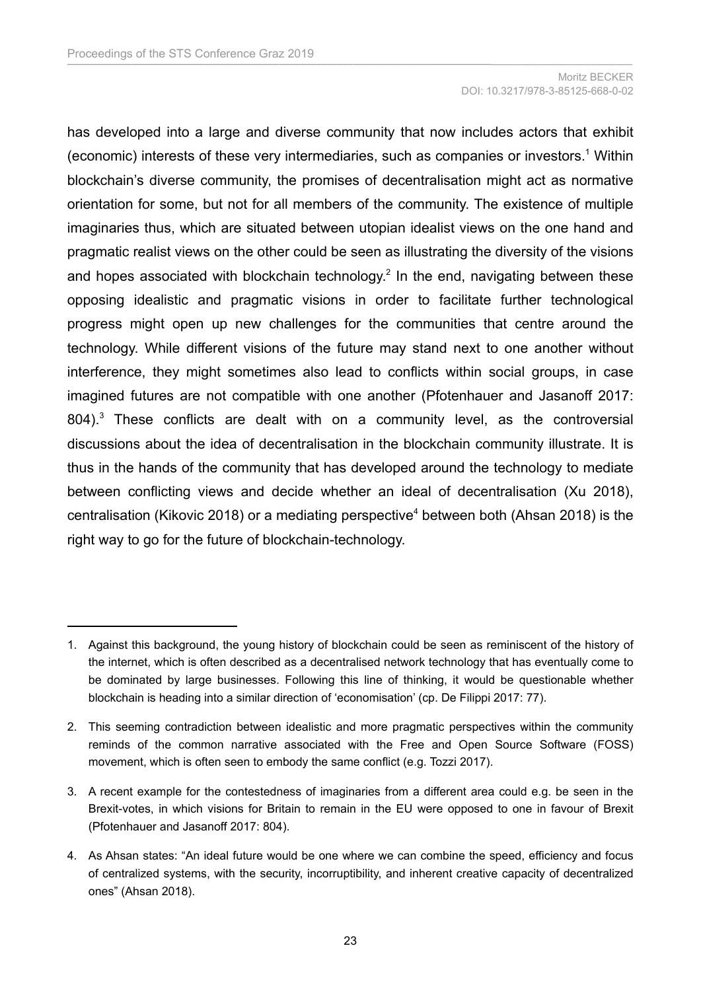has developed into a large and diverse community that now includes actors that exhibit (economic) interests of these very intermediaries, such as companies or investors.<sup>1</sup> Within blockchain's diverse community, the promises of decentralisation might act as normative orientation for some, but not for all members of the community. The existence of multiple imaginaries thus, which are situated between utopian idealist views on the one hand and pragmatic realist views on the other could be seen as illustrating the diversity of the visions and hopes associated with blockchain technology.<sup>2</sup> In the end, navigating between these opposing idealistic and pragmatic visions in order to facilitate further technological progress might open up new challenges for the communities that centre around the technology. While different visions of the future may stand next to one another without interference, they might sometimes also lead to conflicts within social groups, in case imagined futures are not compatible with one another (Pfotenhauer and Jasanoff 2017:  $804$ ).<sup>3</sup> These conflicts are dealt with on a community level, as the controversial discussions about the idea of decentralisation in the blockchain community illustrate. It is thus in the hands of the community that has developed around the technology to mediate between conflicting views and decide whether an ideal of decentralisation (Xu 2018), centralisation (Kikovic 2018) or a mediating perspective<sup>4</sup> between both (Ahsan 2018) is the right way to go for the future of blockchain-technology.

<sup>1.</sup> Against this background, the young history of blockchain could be seen as reminiscent of the history of the internet, which is often described as a decentralised network technology that has eventually come to be dominated by large businesses. Following this line of thinking, it would be questionable whether blockchain is heading into a similar direction of 'economisation' (cp. De Filippi 2017: 77).

<sup>2.</sup> This seeming contradiction between idealistic and more pragmatic perspectives within the community reminds of the common narrative associated with the Free and Open Source Software (FOSS) movement, which is often seen to embody the same conflict (e.g. Tozzi 2017).

<sup>3.</sup> A recent example for the contestedness of imaginaries from a different area could e.g. be seen in the Brexit-votes, in which visions for Britain to remain in the EU were opposed to one in favour of Brexit (Pfotenhauer and Jasanoff 2017: 804).

<sup>4.</sup> As Ahsan states: "An ideal future would be one where we can combine the speed, efficiency and focus of centralized systems, with the security, incorruptibility, and inherent creative capacity of decentralized ones" (Ahsan 2018).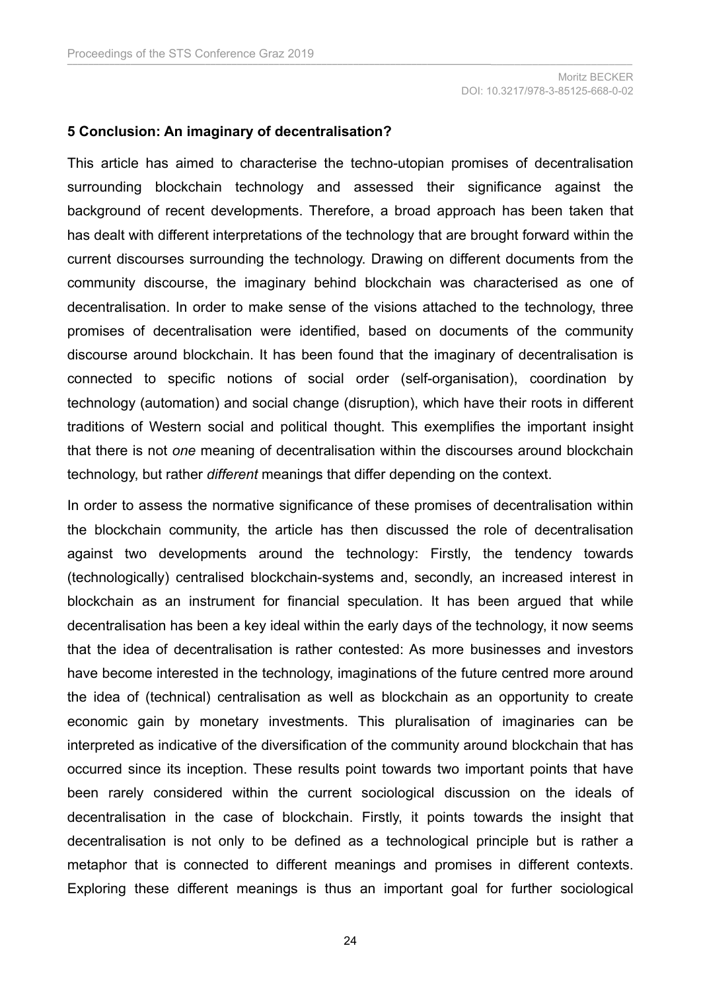#### **5 Conclusion: An imaginary of decentralisation?**

This article has aimed to characterise the techno-utopian promises of decentralisation surrounding blockchain technology and assessed their significance against the background of recent developments. Therefore, a broad approach has been taken that has dealt with different interpretations of the technology that are brought forward within the current discourses surrounding the technology. Drawing on different documents from the community discourse, the imaginary behind blockchain was characterised as one of decentralisation. In order to make sense of the visions attached to the technology, three promises of decentralisation were identified, based on documents of the community discourse around blockchain. It has been found that the imaginary of decentralisation is connected to specific notions of social order (self-organisation), coordination by technology (automation) and social change (disruption), which have their roots in different traditions of Western social and political thought. This exemplifies the important insight that there is not *one* meaning of decentralisation within the discourses around blockchain technology, but rather *different* meanings that differ depending on the context.

In order to assess the normative significance of these promises of decentralisation within the blockchain community, the article has then discussed the role of decentralisation against two developments around the technology: Firstly, the tendency towards (technologically) centralised blockchain-systems and, secondly, an increased interest in blockchain as an instrument for financial speculation. It has been argued that while decentralisation has been a key ideal within the early days of the technology, it now seems that the idea of decentralisation is rather contested: As more businesses and investors have become interested in the technology, imaginations of the future centred more around the idea of (technical) centralisation as well as blockchain as an opportunity to create economic gain by monetary investments. This pluralisation of imaginaries can be interpreted as indicative of the diversification of the community around blockchain that has occurred since its inception. These results point towards two important points that have been rarely considered within the current sociological discussion on the ideals of decentralisation in the case of blockchain. Firstly, it points towards the insight that decentralisation is not only to be defined as a technological principle but is rather a metaphor that is connected to different meanings and promises in different contexts. Exploring these different meanings is thus an important goal for further sociological

24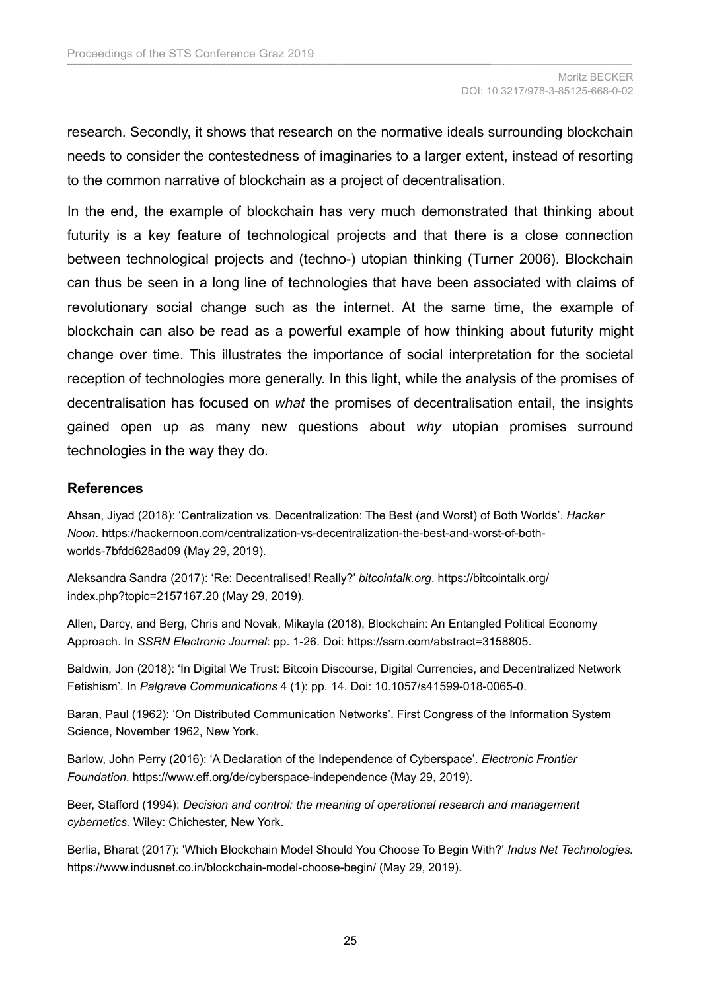research. Secondly, it shows that research on the normative ideals surrounding blockchain needs to consider the contestedness of imaginaries to a larger extent, instead of resorting to the common narrative of blockchain as a project of decentralisation.

In the end, the example of blockchain has very much demonstrated that thinking about futurity is a key feature of technological projects and that there is a close connection between technological projects and (techno-) utopian thinking (Turner 2006). Blockchain can thus be seen in a long line of technologies that have been associated with claims of revolutionary social change such as the internet. At the same time, the example of blockchain can also be read as a powerful example of how thinking about futurity might change over time. This illustrates the importance of social interpretation for the societal reception of technologies more generally. In this light, while the analysis of the promises of decentralisation has focused on *what* the promises of decentralisation entail, the insights gained open up as many new questions about *why* utopian promises surround technologies in the way they do.

### **References**

Ahsan, Jiyad (2018): 'Centralization vs. Decentralization: The Best (and Worst) of Both Worlds'. *Hacker Noon*. https://hackernoon.com/centralization-vs-decentralization-the-best-and-worst-of-bothworlds-7bfdd628ad09 (May 29, 2019).

Aleksandra Sandra (2017): 'Re: Decentralised! Really?' *bitcointalk.org*. https://bitcointalk.org/ index.php?topic=2157167.20 (May 29, 2019).

Allen, Darcy, and Berg, Chris and Novak, Mikayla (2018), Blockchain: An Entangled Political Economy Approach. In *SSRN Electronic Journal*: pp. 1-26. Doi: https://ssrn.com/abstract=3158805.

Baldwin, Jon (2018): 'In Digital We Trust: Bitcoin Discourse, Digital Currencies, and Decentralized Network Fetishism'. In *Palgrave Communications* 4 (1): pp. 14. Doi: 10.1057/s41599-018-0065-0.

Baran, Paul (1962): 'On Distributed Communication Networks'. First Congress of the Information System Science, November 1962, New York.

Barlow, John Perry (2016): 'A Declaration of the Independence of Cyberspace'. *Electronic Frontier Foundation*. https://www.eff.org/de/cyberspace-independence (May 29, 2019).

Beer, Stafford (1994): *Decision and control: the meaning of operational research and management cybernetics.* Wiley: Chichester, New York.

Berlia, Bharat (2017): 'Which Blockchain Model Should You Choose To Begin With?' *Indus Net Technologies.* https://www.indusnet.co.in/blockchain-model-choose-begin/ (May 29, 2019).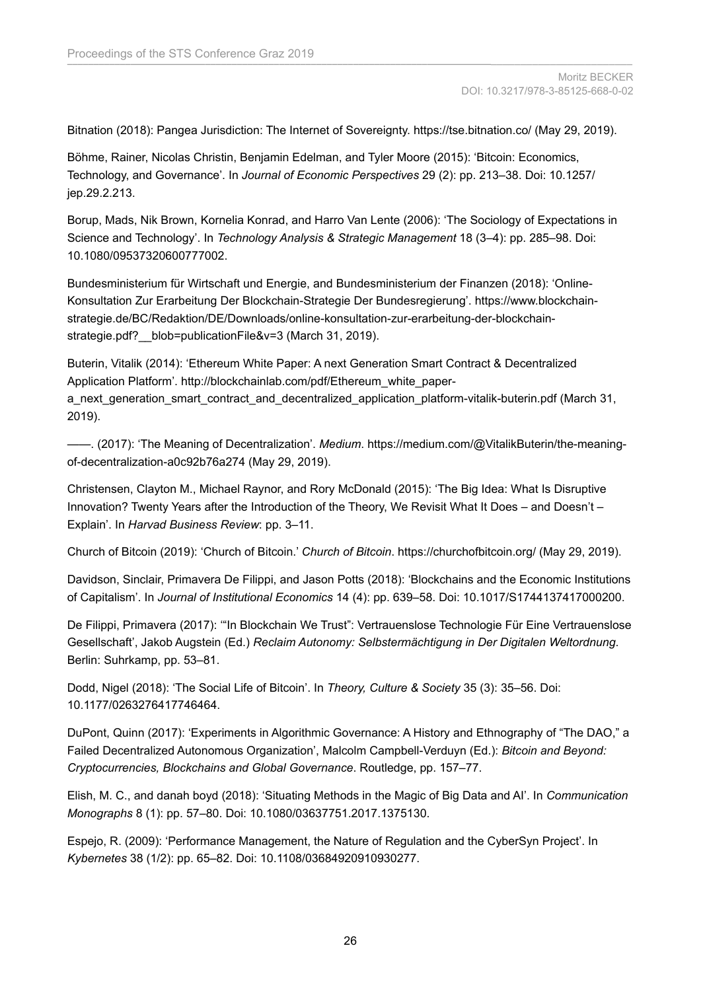Bitnation (2018): Pangea Jurisdiction: The Internet of Sovereignty. https://tse.bitnation.co/ (May 29, 2019).

Böhme, Rainer, Nicolas Christin, Benjamin Edelman, and Tyler Moore (2015): 'Bitcoin: Economics, Technology, and Governance'. In *Journal of Economic Perspectives* 29 (2): pp. 213–38. Doi: 10.1257/ jep.29.2.213.

Borup, Mads, Nik Brown, Kornelia Konrad, and Harro Van Lente (2006): 'The Sociology of Expectations in Science and Technology'. In *Technology Analysis & Strategic Management* 18 (3–4): pp. 285–98. Doi: 10.1080/09537320600777002.

Bundesministerium für Wirtschaft und Energie, and Bundesministerium der Finanzen (2018): 'Online-Konsultation Zur Erarbeitung Der Blockchain-Strategie Der Bundesregierung'. https://www.blockchainstrategie.de/BC/Redaktion/DE/Downloads/online-konsultation-zur-erarbeitung-der-blockchainstrategie.pdf? blob=publicationFile&v=3 (March 31, 2019).

Buterin, Vitalik (2014): 'Ethereum White Paper: A next Generation Smart Contract & Decentralized Application Platform'. http://blockchainlab.com/pdf/Ethereum\_white\_papera next generation smart contract and decentralized application platform-vitalik-buterin.pdf (March 31, 2019).

——. (2017): 'The Meaning of Decentralization'. *Medium*. https://medium.com/@VitalikButerin/the-meaningof-decentralization-a0c92b76a274 (May 29, 2019).

Christensen, Clayton M., Michael Raynor, and Rory McDonald (2015): 'The Big Idea: What Is Disruptive Innovation? Twenty Years after the Introduction of the Theory, We Revisit What It Does – and Doesn't – Explain'. In *Harvad Business Review*: pp. 3–11.

Church of Bitcoin (2019): 'Church of Bitcoin.' *Church of Bitcoin*. https://churchofbitcoin.org/ (May 29, 2019).

Davidson, Sinclair, Primavera De Filippi, and Jason Potts (2018): 'Blockchains and the Economic Institutions of Capitalism'. In *Journal of Institutional Economics* 14 (4): pp. 639–58. Doi: 10.1017/S1744137417000200.

De Filippi, Primavera (2017): '"In Blockchain We Trust": Vertrauenslose Technologie Für Eine Vertrauenslose Gesellschaft', Jakob Augstein (Ed.) *Reclaim Autonomy: Selbstermächtigung in Der Digitalen Weltordnung*. Berlin: Suhrkamp, pp. 53–81.

Dodd, Nigel (2018): 'The Social Life of Bitcoin'. In *Theory, Culture & Society* 35 (3): 35–56. Doi: 10.1177/0263276417746464.

DuPont, Quinn (2017): 'Experiments in Algorithmic Governance: A History and Ethnography of "The DAO," a Failed Decentralized Autonomous Organization', Malcolm Campbell-Verduyn (Ed.): *Bitcoin and Beyond: Cryptocurrencies, Blockchains and Global Governance*. Routledge, pp. 157–77.

Elish, M. C., and danah boyd (2018): 'Situating Methods in the Magic of Big Data and AI'. In *Communication Monographs* 8 (1): pp. 57–80. Doi: 10.1080/03637751.2017.1375130.

Espejo, R. (2009): 'Performance Management, the Nature of Regulation and the CyberSyn Project'. In *Kybernetes* 38 (1/2): pp. 65–82. Doi: 10.1108/03684920910930277.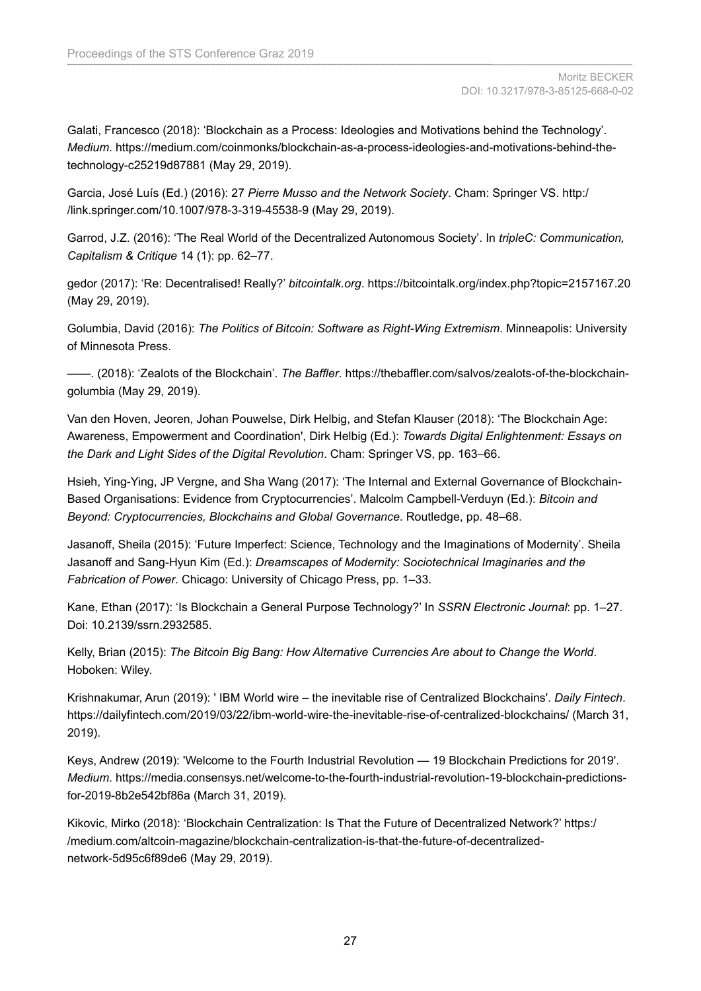Galati, Francesco (2018): 'Blockchain as a Process: Ideologies and Motivations behind the Technology'. *Medium*. https://medium.com/coinmonks/blockchain-as-a-process-ideologies-and-motivations-behind-thetechnology-c25219d87881 (May 29, 2019).

Garcia, José Luís (Ed.) (2016): 27 *Pierre Musso and the Network Society*. Cham: Springer VS. http:/ /link.springer.com/10.1007/978-3-319-45538-9 (May 29, 2019).

Garrod, J.Z. (2016): 'The Real World of the Decentralized Autonomous Society'. In *tripleC: Communication, Capitalism & Critique* 14 (1): pp. 62–77.

gedor (2017): 'Re: Decentralised! Really?' *bitcointalk.org*. https://bitcointalk.org/index.php?topic=2157167.20 (May 29, 2019).

Golumbia, David (2016): *The Politics of Bitcoin: Software as Right-Wing Extremism*. Minneapolis: University of Minnesota Press.

——. (2018): 'Zealots of the Blockchain'. *The Baffler*. https://thebaffler.com/salvos/zealots-of-the-blockchaingolumbia (May 29, 2019).

Van den Hoven, Jeoren, Johan Pouwelse, Dirk Helbig, and Stefan Klauser (2018): 'The Blockchain Age: Awareness, Empowerment and Coordination', Dirk Helbig (Ed.): *Towards Digital Enlightenment: Essays on the Dark and Light Sides of the Digital Revolution*. Cham: Springer VS, pp. 163–66.

Hsieh, Ying-Ying, JP Vergne, and Sha Wang (2017): 'The Internal and External Governance of Blockchain-Based Organisations: Evidence from Cryptocurrencies'. Malcolm Campbell-Verduyn (Ed.): *Bitcoin and Beyond: Cryptocurrencies, Blockchains and Global Governance*. Routledge, pp. 48–68.

Jasanoff, Sheila (2015): 'Future Imperfect: Science, Technology and the Imaginations of Modernity'. Sheila Jasanoff and Sang-Hyun Kim (Ed.): *Dreamscapes of Modernity: Sociotechnical Imaginaries and the Fabrication of Power*. Chicago: University of Chicago Press, pp. 1–33.

Kane, Ethan (2017): 'Is Blockchain a General Purpose Technology?' In *SSRN Electronic Journal*: pp. 1–27. Doi: 10.2139/ssrn.2932585.

Kelly, Brian (2015): *The Bitcoin Big Bang: How Alternative Currencies Are about to Change the World*. Hoboken: Wiley.

Krishnakumar, Arun (2019): ' IBM World wire – the inevitable rise of Centralized Blockchains'. *Daily Fintech*. https://dailyfintech.com/2019/03/22/ibm-world-wire-the-inevitable-rise-of-centralized-blockchains/ (March 31, 2019).

Keys, Andrew (2019): 'Welcome to the Fourth Industrial Revolution — 19 Blockchain Predictions for 2019'. *Medium*. https://media.consensys.net/welcome-to-the-fourth-industrial-revolution-19-blockchain-predictionsfor-2019-8b2e542bf86a (March 31, 2019).

Kikovic, Mirko (2018): 'Blockchain Centralization: Is That the Future of Decentralized Network?' https:/ /medium.com/altcoin-magazine/blockchain-centralization-is-that-the-future-of-decentralizednetwork-5d95c6f89de6 (May 29, 2019).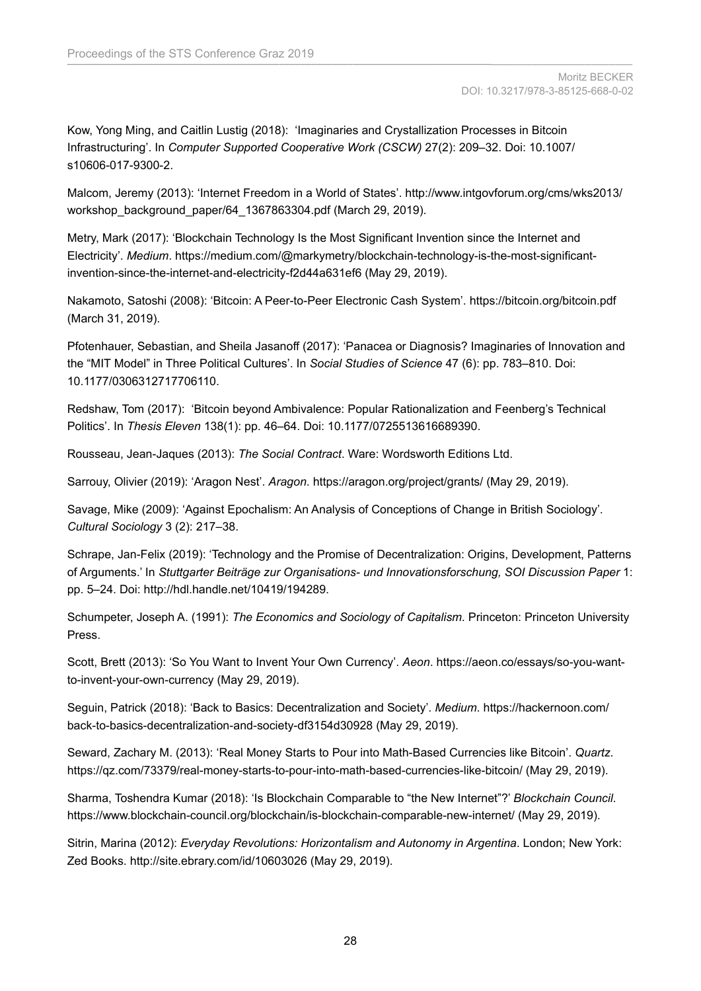Kow, Yong Ming, and Caitlin Lustig (2018): 'Imaginaries and Crystallization Processes in Bitcoin Infrastructuring'. In *Computer Supported Cooperative Work (CSCW)* 27(2): 209–32. Doi: 10.1007/ s10606-017-9300-2.

Malcom, Jeremy (2013): 'Internet Freedom in a World of States'. http://www.intgovforum.org/cms/wks2013/ workshop\_background\_paper/64\_1367863304.pdf (March 29, 2019).

Metry, Mark (2017): 'Blockchain Technology Is the Most Significant Invention since the Internet and Electricity'. *Medium*. https://medium.com/@markymetry/blockchain-technology-is-the-most-significantinvention-since-the-internet-and-electricity-f2d44a631ef6 (May 29, 2019).

Nakamoto, Satoshi (2008): 'Bitcoin: A Peer-to-Peer Electronic Cash System'. https://bitcoin.org/bitcoin.pdf (March 31, 2019).

Pfotenhauer, Sebastian, and Sheila Jasanoff (2017): 'Panacea or Diagnosis? Imaginaries of Innovation and the "MIT Model" in Three Political Cultures'. In *Social Studies of Science* 47 (6): pp. 783–810. Doi: 10.1177/0306312717706110.

Redshaw, Tom (2017): 'Bitcoin beyond Ambivalence: Popular Rationalization and Feenberg's Technical Politics'. In *Thesis Eleven* 138(1): pp. 46–64. Doi: 10.1177/0725513616689390.

Rousseau, Jean-Jaques (2013): *The Social Contract*. Ware: Wordsworth Editions Ltd.

Sarrouy, Olivier (2019): 'Aragon Nest'. *Aragon*. https://aragon.org/project/grants/ (May 29, 2019).

Savage, Mike (2009): 'Against Epochalism: An Analysis of Conceptions of Change in British Sociology'. *Cultural Sociology* 3 (2): 217–38.

Schrape, Jan-Felix (2019): 'Technology and the Promise of Decentralization: Origins, Development, Patterns of Arguments.' In *Stuttgarter Beiträge zur Organisations- und Innovationsforschung, SOI Discussion Paper* 1: pp. 5–24. Doi: http://hdl.handle.net/10419/194289.

Schumpeter, Joseph A. (1991): *The Economics and Sociology of Capitalism*. Princeton: Princeton University Press.

Scott, Brett (2013): 'So You Want to Invent Your Own Currency'. *Aeon*. https://aeon.co/essays/so-you-wantto-invent-your-own-currency (May 29, 2019).

Seguin, Patrick (2018): 'Back to Basics: Decentralization and Society'. *Medium*. https://hackernoon.com/ back-to-basics-decentralization-and-society-df3154d30928 (May 29, 2019).

Seward, Zachary M. (2013): 'Real Money Starts to Pour into Math-Based Currencies like Bitcoin'. *Quartz*. https://qz.com/73379/real-money-starts-to-pour-into-math-based-currencies-like-bitcoin/ (May 29, 2019).

Sharma, Toshendra Kumar (2018): 'Is Blockchain Comparable to "the New Internet"?' *Blockchain Council*. https://www.blockchain-council.org/blockchain/is-blockchain-comparable-new-internet/ (May 29, 2019).

Sitrin, Marina (2012): *Everyday Revolutions: Horizontalism and Autonomy in Argentina*. London; New York: Zed Books. http://site.ebrary.com/id/10603026 (May 29, 2019).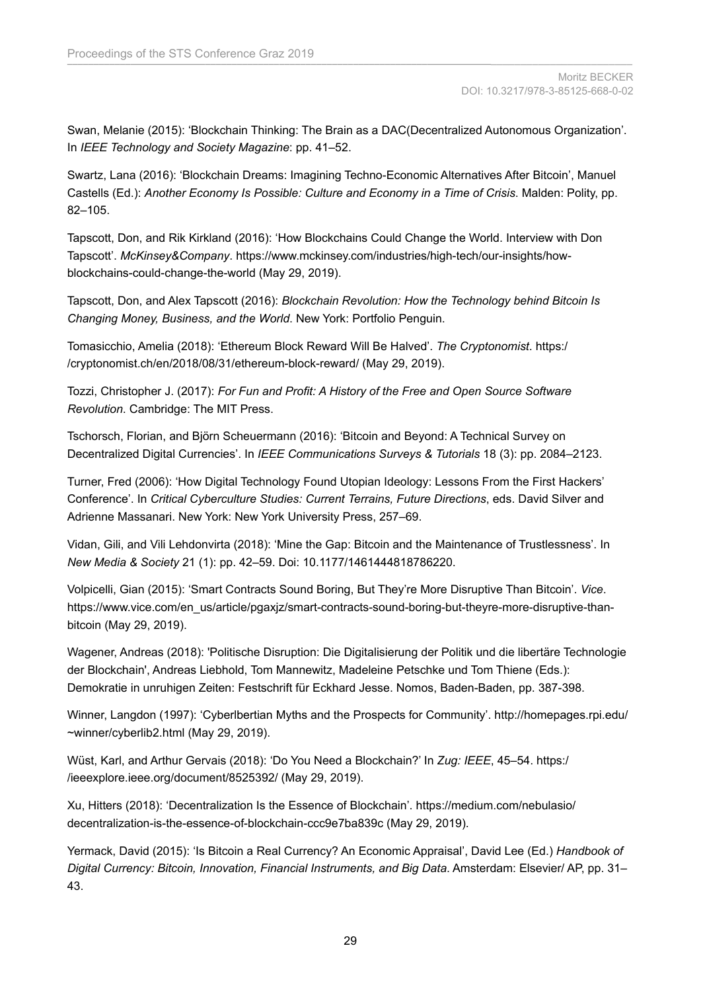Swan, Melanie (2015): 'Blockchain Thinking: The Brain as a DAC(Decentralized Autonomous Organization'. In *IEEE Technology and Society Magazine*: pp. 41–52.

Swartz, Lana (2016): 'Blockchain Dreams: Imagining Techno-Economic Alternatives After Bitcoin', Manuel Castells (Ed.): *Another Economy Is Possible: Culture and Economy in a Time of Crisis*. Malden: Polity, pp. 82–105.

Tapscott, Don, and Rik Kirkland (2016): 'How Blockchains Could Change the World. Interview with Don Tapscott'. *McKinsey&Company*. https://www.mckinsey.com/industries/high-tech/our-insights/howblockchains-could-change-the-world (May 29, 2019).

Tapscott, Don, and Alex Tapscott (2016): *Blockchain Revolution: How the Technology behind Bitcoin Is Changing Money, Business, and the World*. New York: Portfolio Penguin.

Tomasicchio, Amelia (2018): 'Ethereum Block Reward Will Be Halved'. *The Cryptonomist*. https:/ /cryptonomist.ch/en/2018/08/31/ethereum-block-reward/ (May 29, 2019).

Tozzi, Christopher J. (2017): *For Fun and Profit: A History of the Free and Open Source Software Revolution*. Cambridge: The MIT Press.

Tschorsch, Florian, and Björn Scheuermann (2016): 'Bitcoin and Beyond: A Technical Survey on Decentralized Digital Currencies'. In *IEEE Communications Surveys & Tutorials* 18 (3): pp. 2084–2123.

Turner, Fred (2006): 'How Digital Technology Found Utopian Ideology: Lessons From the First Hackers' Conference'. In *Critical Cyberculture Studies: Current Terrains, Future Directions*, eds. David Silver and Adrienne Massanari. New York: New York University Press, 257–69.

Vidan, Gili, and Vili Lehdonvirta (2018): 'Mine the Gap: Bitcoin and the Maintenance of Trustlessness'. In *New Media & Society* 21 (1): pp. 42–59. Doi: 10.1177/1461444818786220.

Volpicelli, Gian (2015): 'Smart Contracts Sound Boring, But They're More Disruptive Than Bitcoin'. *Vice*. https://www.vice.com/en\_us/article/pgaxjz/smart-contracts-sound-boring-but-theyre-more-disruptive-thanbitcoin (May 29, 2019).

Wagener, Andreas (2018): 'Politische Disruption: Die Digitalisierung der Politik und die libertäre Technologie der Blockchain', Andreas Liebhold, Tom Mannewitz, Madeleine Petschke und Tom Thiene (Eds.): Demokratie in unruhigen Zeiten: Festschrift für Eckhard Jesse. Nomos, Baden-Baden, pp. 387-398.

Winner, Langdon (1997): 'Cyberlbertian Myths and the Prospects for Community'. http://homepages.rpi.edu/ ~winner/cyberlib2.html (May 29, 2019).

Wüst, Karl, and Arthur Gervais (2018): 'Do You Need a Blockchain?' In *Zug: IEEE*, 45–54. https:/ /ieeexplore.ieee.org/document/8525392/ (May 29, 2019).

Xu, Hitters (2018): 'Decentralization Is the Essence of Blockchain'. https://medium.com/nebulasio/ decentralization-is-the-essence-of-blockchain-ccc9e7ba839c (May 29, 2019).

Yermack, David (2015): 'Is Bitcoin a Real Currency? An Economic Appraisal', David Lee (Ed.) *Handbook of Digital Currency: Bitcoin, Innovation, Financial Instruments, and Big Data*. Amsterdam: Elsevier/ AP, pp. 31– 43.